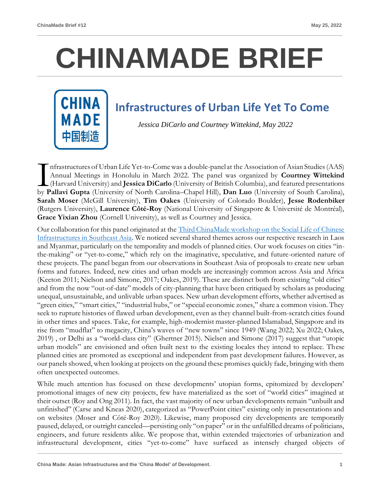## **CHINAMADE BRIEF**

## **Infrastructures of Urban Life Yet To Come**

*Jessica DiCarlo and Courtney Wittekind, May 2022*

nfrastructures of Urban Life Yet-to-Come was a double-panel at the Association of Asian Studies (AAS) Annual Meetings in Honolulu in March 2022. The panel was organized by **Courtney Wittekind** (Harvard University) and **Jessica DiCarlo** (University of British Columbia), and featured presentations Infrastructures of Urban Life Yet-to-Come was a double-panel at the Association of Asian Studies (AAS)<br>Annual Meetings in Honolulu in March 2022. The panel was organized by **Courtney Wittekind**<br>(Harvard University) and **Je Sarah Moser** (McGill University), **Tim Oakes** (University of Colorado Boulder), **Jesse Rodenbiker** (Rutgers University), **Laurence Côté-Roy** (National University of Singapore & Université de Montréal), **Grace Yixian Zhou** (Cornell University), as well as Courtney and Jessica.

Our collaboration for this panel originated at the [Third ChinaMade workshop on the Social Life of Chinese](https://chinamadeproject.net/china-made-brief-11/)  [Infrastructures in Southeast Asia.](https://chinamadeproject.net/china-made-brief-11/) We noticed several shared themes across our respective research in Laos and Myanmar, particularly on the temporality and models of planned cities. Our work focuses on cities "inthe-making" or "yet-to-come," which rely on the imaginative, speculative, and future-oriented nature of these projects. The panel began from our observations in Southeast Asia of proposals to create new urban forms and futures. Indeed, new cities and urban models are increasingly common across Asia and Africa (Keeton 2011; Nielson and Simone, 2017; Oakes, 2019). These are distinct both from existing "old cities" and from the now "out-of-date" models of city-planning that have been critiqued by scholars as producing unequal, unsustainable, and unlivable urban spaces. New urban development efforts, whether advertised as "green cities," "smart cities," "industrial hubs," or "special economic zones," share a common vision. They seek to rupture histories of flawed urban development, even as they channel built-from-scratch cities found in other times and spaces. Take, for example, high-modernist master-planned Islamabad, Singapore and its rise from "mudflat" to megacity, China's waves of "new towns" since 1949 (Wang 2022; Xu 2022; Oakes, 2019) , or Delhi as a "world-class city" (Ghertner 2015). Nielsen and Simone (2017) suggest that "utopic urban models" are envisioned and often built next to the existing locales they intend to replace. These planned cities are promoted as exceptional and independent from past development failures. However, as our panels showed, when looking at projects on the ground these promises quickly fade, bringing with them often unexpected outcomes.

While much attention has focused on these developments' utopian forms, epitomized by developers' promotional images of new city projects, few have materialized as the sort of "world cities" imagined at their outset (Roy and Ong 2011). In fact, the vast majority of new urban developments remain "unbuilt and unfinished" (Carse and Kneas 2020), categorized as "PowerPoint cities" existing only in presentations and on websites (Moser and Côté-Roy 2020). Likewise, many proposed city developments are temporarily paused, delayed, or outright canceled—persisting only "on paper" or in the unfulfilled dreams of politicians, engineers, and future residents alike. We propose that, within extended trajectories of urbanization and infrastructural development, cities "yet-to-come" have surfaced as intensely charged objects of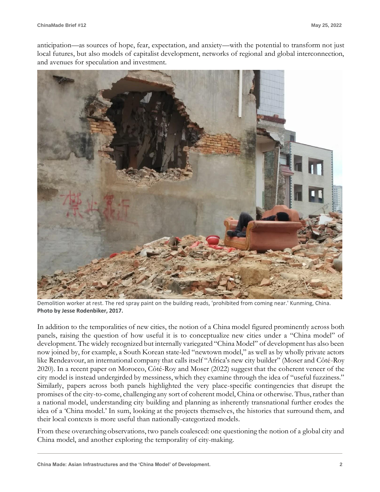anticipation—as sources of hope, fear, expectation, and anxiety—with the potential to transform not just local futures, but also models of capitalist development, networks of regional and global interconnection, and avenues for speculation and investment.



Demolition worker at rest. The red spray paint on the building reads, 'prohibited from coming near.' Kunming, China. **Photo by Jesse Rodenbiker, 2017.**

In addition to the temporalities of new cities, the notion of a China model figured prominently across both panels, raising the question of how useful it is to conceptualize new cities under a "China model" of development. The widely recognized but internally variegated "China Model" of development has also been now joined by, for example, a South Korean state-led "newtown model," as well as by wholly private actors like Rendeavour, an international company that calls itself "Africa's new city builder" (Moser and Côté-Roy 2020). In a recent paper on Morocco, Côté-Roy and Moser (2022) suggest that the coherent veneer of the city model is instead undergirded by messiness, which they examine through the idea of "useful fuzziness." Similarly, papers across both panels highlighted the very place-specific contingencies that disrupt the promises of the city-to-come, challenging any sort of coherent model, China or otherwise. Thus, rather than a national model, understanding city building and planning as inherently transnational further erodes the idea of a 'China model.' In sum, looking at the projects themselves, the histories that surround them, and their local contexts is more useful than nationally-categorized models.

From these overarching observations, two panels coalesced: one questioning the notion of a global city and China model, and another exploring the temporality of city-making.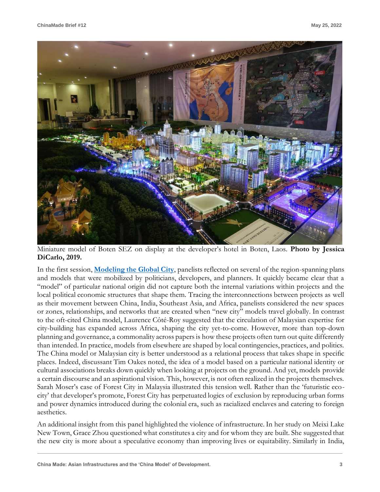

Miniature model of Boten SEZ on display at the developer's hotel in Boten, Laos. **Photo by Jessica DiCarlo, 2019.**

In the first session, **[Modeling the Global City](https://cdmcd.co/MpmQJX)**, panelists reflected on several of the region-spanning plans and models that were mobilized by politicians, developers, and planners. It quickly became clear that a "model" of particular national origin did not capture both the internal variations within projects and the local political economic structures that shape them. Tracing the interconnections between projects as well as their movement between China, India, Southeast Asia, and Africa, panelists considered the new spaces or zones, relationships, and networks that are created when "new city" models travel globally. In contrast to the oft-cited China model, Laurence Côté-Roy suggested that the circulation of Malaysian expertise for city-building has expanded across Africa, shaping the city yet-to-come. However, more than top-down planning and governance, a commonality across papers is how these projects often turn out quite differently than intended. In practice, models from elsewhere are shaped by local contingencies, practices, and politics. The China model or Malaysian city is better understood as a relational process that takes shape in specific places. Indeed, discussant Tim Oakes noted, the idea of a model based on a particular national identity or cultural associations breaks down quickly when looking at projects on the ground. And yet, models provide a certain discourse and an aspirational vision. This, however, is not often realized in the projects themselves. Sarah Moser's case of Forest City in Malaysia illustrated this tension well. Rather than the 'futuristic ecocity' that developer's promote, Forest City has perpetuated logics of exclusion by reproducing urban forms and power dynamics introduced during the colonial era, such as racialized enclaves and catering to foreign aesthetics.

An additional insight from this panel highlighted the violence of infrastructure. In her study on Meixi Lake New Town, Grace Zhou questioned what constitutes a city and for whom they are built. She suggested that the new city is more about a speculative economy than improving lives or equitability. Similarly in India,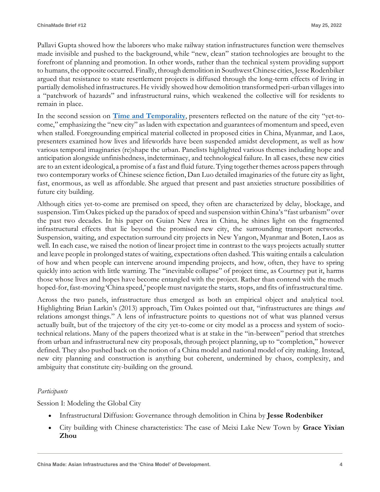Pallavi Gupta showed how the laborers who make railway station infrastructures function were themselves made invisible and pushed to the background, while "new, clean" station technologies are brought to the forefront of planning and promotion. In other words, rather than the technical system providing support to humans, the opposite occurred. Finally, through demolition in Southwest Chinese cities, Jesse Rodenbiker argued that resistance to state resettlement projects is diffused through the long-term effects of living in partially demolished infrastructures. He vividly showed how demolition transformed peri-urban villages into a "patchwork of hazards" and infrastructural ruins, which weakened the collective will for residents to remain in place.

In the second session on **[Time and Temporality](https://cdmcd.co/pE3b88)**, presenters reflected on the nature of the city "yet-tocome," emphasizing the "new city" as laden with expectation and guarantees of momentum and speed, even when stalled. Foregrounding empirical material collected in proposed cities in China, Myanmar, and Laos, presenters examined how lives and lifeworlds have been suspended amidst development, as well as how various temporal imaginaries (re)shape the urban. Panelists highlighted various themes including hope and anticipation alongside unfinishedness, indeterminacy, and technological failure. In all cases, these new cities are to an extent ideological, a promise of a fast and fluid future. Tying together themes across papers through two contemporary works of Chinese science fiction, Dan Luo detailed imaginaries of the future city as light, fast, enormous, as well as affordable. She argued that present and past anxieties structure possibilities of future city building.

Although cities yet-to-come are premised on speed, they often are characterized by delay, blockage, and suspension. Tim Oakes picked up the paradox of speed and suspension within China's "fast urbanism" over the past two decades. In his paper on Guian New Area in China, he shines light on the fragmented infrastructural effects that lie beyond the promised new city, the surrounding transport networks. Suspension, waiting, and expectation surround city projects in New Yangon, Myanmar and Boten, Laos as well. In each case, we raised the notion of linear project time in contrast to the ways projects actually stutter and leave people in prolonged states of waiting, expectations often dashed. This waiting entails a calculation of how and when people can intervene around impending projects, and how, often, they have to spring quickly into action with little warning. The "inevitable collapse" of project time, as Courtney put it, harms those whose lives and hopes have become entangled with the project. Rather than contend with the much hoped-for, fast-moving 'China speed,' people must navigate the starts, stops, and fits of infrastructural time.

Across the two panels, infrastructure thus emerged as both an empirical object and analytical tool. Highlighting Brian Larkin's (2013) approach, Tim Oakes pointed out that, "infrastructures are things *and* relations amongst things." A lens of infrastructure points to questions not of what was planned versus actually built, but of the trajectory of the city yet-to-come or city model as a process and system of sociotechnical relations. Many of the papers theorized what is at stake in the "in-between" period that stretches from urban and infrastructural new city proposals, through project planning, up to "completion," however defined. They also pushed back on the notion of a China model and national model of city making. Instead, new city planning and construction is anything but coherent, undermined by chaos, complexity, and ambiguity that constitute city-building on the ground.

## *Participants*

Session I: Modeling the Global City

- Infrastructural Diffusion: Governance through demolition in China by **Jesse Rodenbiker**
- City building with Chinese characteristics: The case of Meixi Lake New Town by **Grace Yixian Zhou**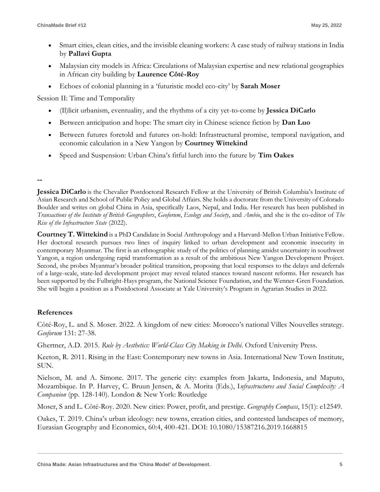- Smart cities, clean cities, and the invisible cleaning workers: A case study of railway stations in India by **Pallavi Gupta**
- Malaysian city models in Africa: Circulations of Malaysian expertise and new relational geographies in African city building by **Laurence Côté-Roy**
- Echoes of colonial planning in a 'futuristic model eco-city' by **Sarah Moser**

Session II: Time and Temporality

- (Il)licit urbanism, eventuality, and the rhythms of a city yet-to-come by **Jessica DiCarlo**
- Between anticipation and hope: The smart city in Chinese science fiction by **Dan Luo**
- Between futures foretold and futures on-hold: Infrastructural promise, temporal navigation, and economic calculation in a New Yangon by **Courtney Wittekind**
- Speed and Suspension: Urban China's fitful lurch into the future by **Tim Oakes**

**--**

**Jessica DiCarlo** is the Chevalier Postdoctoral Research Fellow at the University of British Columbia's Institute of Asian Research and School of Public Policy and Global Affairs. She holds a doctorate from the University of Colorado Boulder and writes on global China in Asia, specifically Laos, Nepal, and India. Her research has been published in *Transactions of the Institute of British Geographers*, *Geoforum*, *Ecology and Society*, and *Ambio*, and she is the co-editor of *The Rise of the Infrastructure State* (2022).

**Courtney T. Wittekind** is a PhD Candidate in Social Anthropology and a Harvard-Mellon Urban Initiative Fellow. Her doctoral research pursues two lines of inquiry linked to urban development and economic insecurity in contemporary Myanmar. The first is an ethnographic study of the politics of planning amidst uncertainty in southwest Yangon, a region undergoing rapid transformation as a result of the ambitious New Yangon Development Project. Second, she probes Myanmar's broader political transition, proposing that local responses to the delays and deferrals of a large-scale, state-led development project may reveal related stances toward nascent reforms. Her research has been supported by the Fulbright-Hays program, the National Science Foundation, and the Wenner-Gren Foundation. She will begin a position as a Postdoctoral Associate at Yale University's Program in Agrarian Studies in 2022.

## **References**

Côté-Roy, L. and S. Moser. 2022. A kingdom of new cities: Morocco's national Villes Nouvelles strategy. *Geoforum* 131: 27-38.

Ghertner, A.D. 2015. *Rule by Aesthetics: World-Class City Making in Delhi*. Oxford University Press.

Keeton, R. 2011. Rising in the East: Contemporary new towns in Asia. International New Town Institute, SUN.

Nielson, M. and A. Simone. 2017. The generic city: examples from Jakarta, Indonesia, and Maputo, Mozambique. In P. Harvey, C. Bruun Jensen, & A. Morita (Eds.), I*nfrastructures and Social Complexity: A Companion* (pp. 128-140). London & New York: Routledge

Moser, S and L. Côté-Roy. 2020. New cities: Power, profit, and prestige. *Geography Compass*, 15(1): e12549.

Oakes, T. 2019. China's urban ideology: new towns, creation cities, and contested landscapes of memory, Eurasian Geography and Economics, 60:4, 400-421. DOI: 10.1080/15387216.2019.1668815